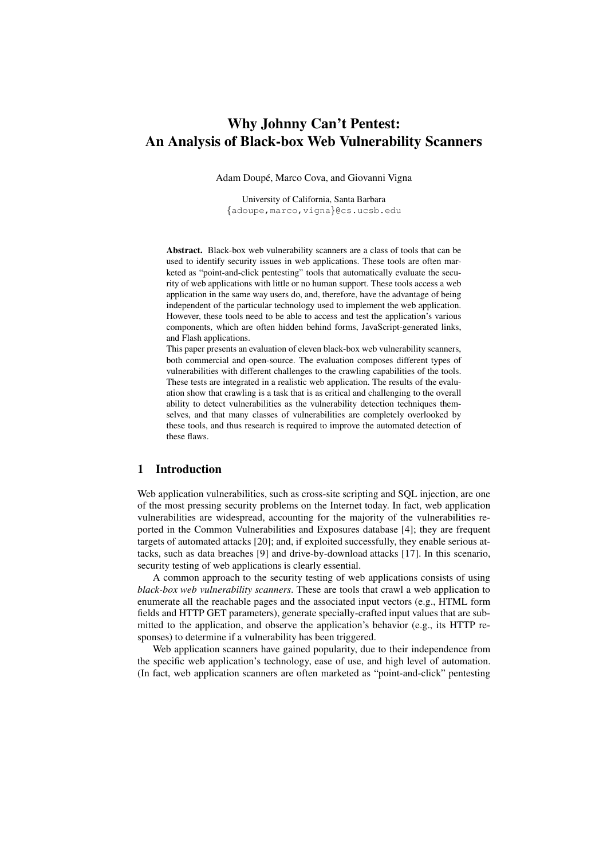# **Why Johnny Can't Pentest: An Analysis of Black-box Web Vulnerability Scanners**

Adam Doupé, Marco Cova, and Giovanni Vigna

University of California, Santa Barbara {adoupe,marco,vigna}@cs.ucsb.edu

**Abstract.** Black-box web vulnerability scanners are a class of tools that can be used to identify security issues in web applications. These tools are often marketed as "point-and-click pentesting" tools that automatically evaluate the security of web applications with little or no human support. These tools access a web application in the same way users do, and, therefore, have the advantage of being independent of the particular technology used to implement the web application. However, these tools need to be able to access and test the application's various components, which are often hidden behind forms, JavaScript-generated links, and Flash applications.

This paper presents an evaluation of eleven black-box web vulnerability scanners, both commercial and open-source. The evaluation composes different types of vulnerabilities with different challenges to the crawling capabilities of the tools. These tests are integrated in a realistic web application. The results of the evaluation show that crawling is a task that is as critical and challenging to the overall ability to detect vulnerabilities as the vulnerability detection techniques themselves, and that many classes of vulnerabilities are completely overlooked by these tools, and thus research is required to improve the automated detection of these flaws.

#### **1 Introduction**

Web application vulnerabilities, such as cross-site scripting and SQL injection, are one of the most pressing security problems on the Internet today. In fact, web application vulnerabilities are widespread, accounting for the majority of the vulnerabilities reported in the Common Vulnerabilities and Exposures database [4]; they are frequent targets of automated attacks [20]; and, if exploited successfully, they enable serious attacks, such as data breaches [9] and drive-by-download attacks [17]. In this scenario, security testing of web applications is clearly essential.

A common approach to the security testing of web applications consists of using *black-box web vulnerability scanners*. These are tools that crawl a web application to enumerate all the reachable pages and the associated input vectors (e.g., HTML form fields and HTTP GET parameters), generate specially-crafted input values that are submitted to the application, and observe the application's behavior (e.g., its HTTP responses) to determine if a vulnerability has been triggered.

Web application scanners have gained popularity, due to their independence from the specific web application's technology, ease of use, and high level of automation. (In fact, web application scanners are often marketed as "point-and-click" pentesting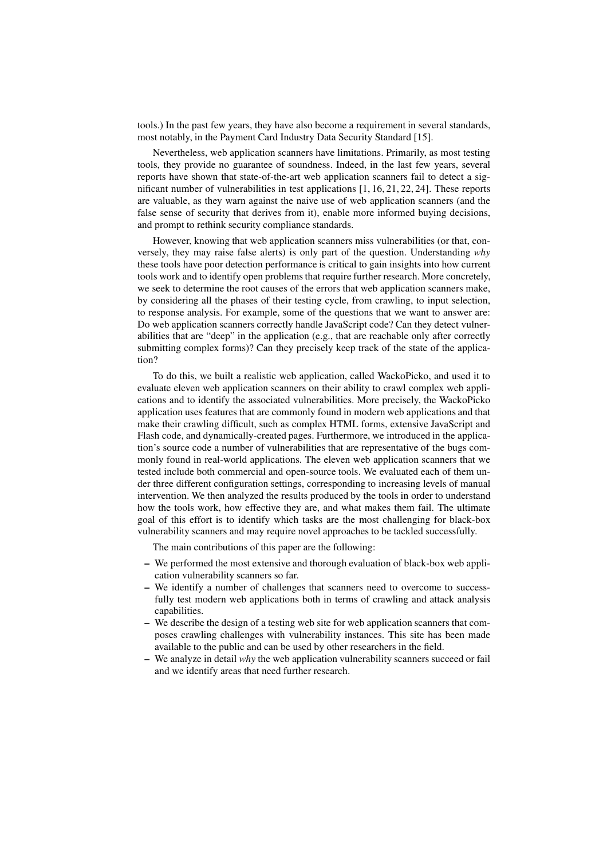tools.) In the past few years, they have also become a requirement in several standards, most notably, in the Payment Card Industry Data Security Standard [15].

Nevertheless, web application scanners have limitations. Primarily, as most testing tools, they provide no guarantee of soundness. Indeed, in the last few years, several reports have shown that state-of-the-art web application scanners fail to detect a significant number of vulnerabilities in test applications [1, 16, 21, 22, 24]. These reports are valuable, as they warn against the naive use of web application scanners (and the false sense of security that derives from it), enable more informed buying decisions, and prompt to rethink security compliance standards.

However, knowing that web application scanners miss vulnerabilities (or that, conversely, they may raise false alerts) is only part of the question. Understanding *why* these tools have poor detection performance is critical to gain insights into how current tools work and to identify open problems that require further research. More concretely, we seek to determine the root causes of the errors that web application scanners make, by considering all the phases of their testing cycle, from crawling, to input selection, to response analysis. For example, some of the questions that we want to answer are: Do web application scanners correctly handle JavaScript code? Can they detect vulnerabilities that are "deep" in the application (e.g., that are reachable only after correctly submitting complex forms)? Can they precisely keep track of the state of the application?

To do this, we built a realistic web application, called WackoPicko, and used it to evaluate eleven web application scanners on their ability to crawl complex web applications and to identify the associated vulnerabilities. More precisely, the WackoPicko application uses features that are commonly found in modern web applications and that make their crawling difficult, such as complex HTML forms, extensive JavaScript and Flash code, and dynamically-created pages. Furthermore, we introduced in the application's source code a number of vulnerabilities that are representative of the bugs commonly found in real-world applications. The eleven web application scanners that we tested include both commercial and open-source tools. We evaluated each of them under three different configuration settings, corresponding to increasing levels of manual intervention. We then analyzed the results produced by the tools in order to understand how the tools work, how effective they are, and what makes them fail. The ultimate goal of this effort is to identify which tasks are the most challenging for black-box vulnerability scanners and may require novel approaches to be tackled successfully.

The main contributions of this paper are the following:

- **–** We performed the most extensive and thorough evaluation of black-box web application vulnerability scanners so far.
- **–** We identify a number of challenges that scanners need to overcome to successfully test modern web applications both in terms of crawling and attack analysis capabilities.
- **–** We describe the design of a testing web site for web application scanners that composes crawling challenges with vulnerability instances. This site has been made available to the public and can be used by other researchers in the field.
- **–** We analyze in detail *why* the web application vulnerability scanners succeed or fail and we identify areas that need further research.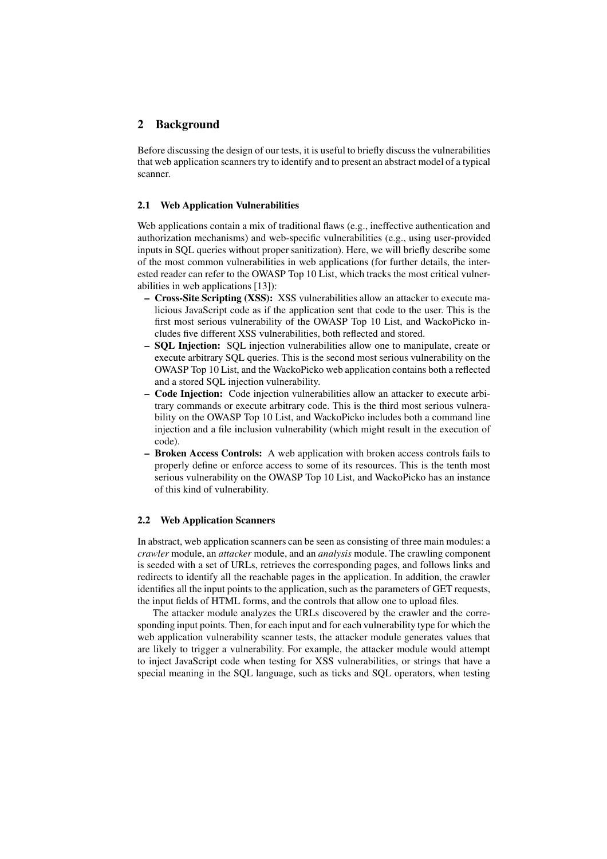# **2 Background**

Before discussing the design of our tests, it is useful to briefly discuss the vulnerabilities that web application scanners try to identify and to present an abstract model of a typical scanner.

## **2.1 Web Application Vulnerabilities**

Web applications contain a mix of traditional flaws (e.g., ineffective authentication and authorization mechanisms) and web-specific vulnerabilities (e.g., using user-provided inputs in SQL queries without proper sanitization). Here, we will briefly describe some of the most common vulnerabilities in web applications (for further details, the interested reader can refer to the OWASP Top 10 List, which tracks the most critical vulnerabilities in web applications [13]):

- **Cross-Site Scripting (XSS):** XSS vulnerabilities allow an attacker to execute malicious JavaScript code as if the application sent that code to the user. This is the first most serious vulnerability of the OWASP Top 10 List, and WackoPicko includes five different XSS vulnerabilities, both reflected and stored.
- **SQL Injection:** SQL injection vulnerabilities allow one to manipulate, create or execute arbitrary SQL queries. This is the second most serious vulnerability on the OWASP Top 10 List, and the WackoPicko web application contains both a reflected and a stored SQL injection vulnerability.
- **Code Injection:** Code injection vulnerabilities allow an attacker to execute arbitrary commands or execute arbitrary code. This is the third most serious vulnerability on the OWASP Top 10 List, and WackoPicko includes both a command line injection and a file inclusion vulnerability (which might result in the execution of code).
- **Broken Access Controls:** A web application with broken access controls fails to properly define or enforce access to some of its resources. This is the tenth most serious vulnerability on the OWASP Top 10 List, and WackoPicko has an instance of this kind of vulnerability.

#### **2.2 Web Application Scanners**

In abstract, web application scanners can be seen as consisting of three main modules: a *crawler* module, an *attacker* module, and an *analysis* module. The crawling component is seeded with a set of URLs, retrieves the corresponding pages, and follows links and redirects to identify all the reachable pages in the application. In addition, the crawler identifies all the input points to the application, such as the parameters of GET requests, the input fields of HTML forms, and the controls that allow one to upload files.

The attacker module analyzes the URLs discovered by the crawler and the corresponding input points. Then, for each input and for each vulnerability type for which the web application vulnerability scanner tests, the attacker module generates values that are likely to trigger a vulnerability. For example, the attacker module would attempt to inject JavaScript code when testing for XSS vulnerabilities, or strings that have a special meaning in the SQL language, such as ticks and SQL operators, when testing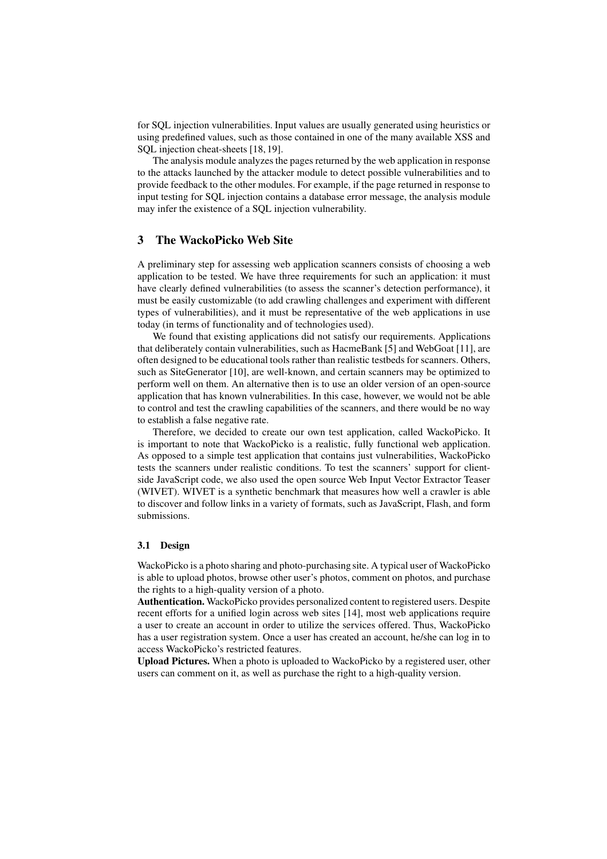for SQL injection vulnerabilities. Input values are usually generated using heuristics or using predefined values, such as those contained in one of the many available XSS and SQL injection cheat-sheets [18, 19].

The analysis module analyzes the pages returned by the web application in response to the attacks launched by the attacker module to detect possible vulnerabilities and to provide feedback to the other modules. For example, if the page returned in response to input testing for SQL injection contains a database error message, the analysis module may infer the existence of a SQL injection vulnerability.

## **3 The WackoPicko Web Site**

A preliminary step for assessing web application scanners consists of choosing a web application to be tested. We have three requirements for such an application: it must have clearly defined vulnerabilities (to assess the scanner's detection performance), it must be easily customizable (to add crawling challenges and experiment with different types of vulnerabilities), and it must be representative of the web applications in use today (in terms of functionality and of technologies used).

We found that existing applications did not satisfy our requirements. Applications that deliberately contain vulnerabilities, such as HacmeBank [5] and WebGoat [11], are often designed to be educational tools rather than realistic testbeds for scanners. Others, such as SiteGenerator [10], are well-known, and certain scanners may be optimized to perform well on them. An alternative then is to use an older version of an open-source application that has known vulnerabilities. In this case, however, we would not be able to control and test the crawling capabilities of the scanners, and there would be no way to establish a false negative rate.

Therefore, we decided to create our own test application, called WackoPicko. It is important to note that WackoPicko is a realistic, fully functional web application. As opposed to a simple test application that contains just vulnerabilities, WackoPicko tests the scanners under realistic conditions. To test the scanners' support for clientside JavaScript code, we also used the open source Web Input Vector Extractor Teaser (WIVET). WIVET is a synthetic benchmark that measures how well a crawler is able to discover and follow links in a variety of formats, such as JavaScript, Flash, and form submissions.

#### **3.1 Design**

WackoPicko is a photo sharing and photo-purchasing site. A typical user of WackoPicko is able to upload photos, browse other user's photos, comment on photos, and purchase the rights to a high-quality version of a photo.

**Authentication.** WackoPicko provides personalized content to registered users. Despite recent efforts for a unified login across web sites [14], most web applications require a user to create an account in order to utilize the services offered. Thus, WackoPicko has a user registration system. Once a user has created an account, he/she can log in to access WackoPicko's restricted features.

**Upload Pictures.** When a photo is uploaded to WackoPicko by a registered user, other users can comment on it, as well as purchase the right to a high-quality version.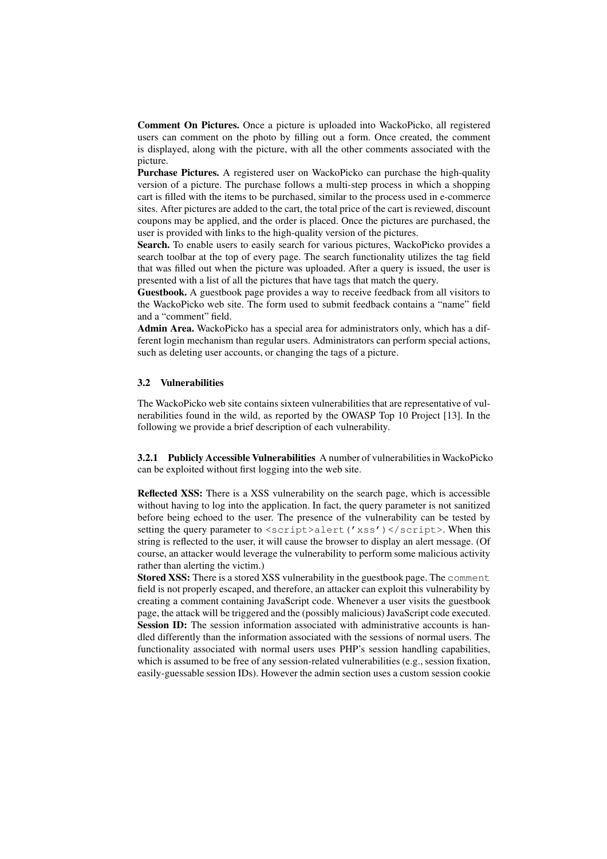**Comment On Pictures.** Once a picture is uploaded into WackoPicko, all registered users can comment on the photo by filling out a form. Once created, the comment is displayed, along with the picture, with all the other comments associated with the picture.

**Purchase Pictures.** A registered user on WackoPicko can purchase the high-quality version of a picture. The purchase follows a multi-step process in which a shopping cart is filled with the items to be purchased, similar to the process used in e-commerce sites. After pictures are added to the cart, the total price of the cart is reviewed, discount coupons may be applied, and the order is placed. Once the pictures are purchased, the user is provided with links to the high-quality version of the pictures.

**Search.** To enable users to easily search for various pictures, WackoPicko provides a search toolbar at the top of every page. The search functionality utilizes the tag field that was filled out when the picture was uploaded. After a query is issued, the user is presented with a list of all the pictures that have tags that match the query.

**Guestbook.** A guestbook page provides a way to receive feedback from all visitors to the WackoPicko web site. The form used to submit feedback contains a "name" field and a "comment" field.

**Admin Area.** WackoPicko has a special area for administrators only, which has a different login mechanism than regular users. Administrators can perform special actions, such as deleting user accounts, or changing the tags of a picture.

## **3.2 Vulnerabilities**

The WackoPicko web site contains sixteen vulnerabilities that are representative of vulnerabilities found in the wild, as reported by the OWASP Top 10 Project [13]. In the following we provide a brief description of each vulnerability.

**3.2.1 Publicly Accessible Vulnerabilities** A number of vulnerabilities in WackoPicko can be exploited without first logging into the web site.

**Reflected XSS:** There is a XSS vulnerability on the search page, which is accessible without having to log into the application. In fact, the query parameter is not sanitized before being echoed to the user. The presence of the vulnerability can be tested by setting the query parameter to  $\langle \text{script} \rangle$  alert ('xss') $\langle \text{script} \rangle$ . When this string is reflected to the user, it will cause the browser to display an alert message. (Of course, an attacker would leverage the vulnerability to perform some malicious activity rather than alerting the victim.)

**Stored XSS:** There is a stored XSS vulnerability in the guestbook page. The comment field is not properly escaped, and therefore, an attacker can exploit this vulnerability by creating a comment containing JavaScript code. Whenever a user visits the guestbook page, the attack will be triggered and the (possibly malicious) JavaScript code executed. **Session ID:** The session information associated with administrative accounts is handled differently than the information associated with the sessions of normal users. The functionality associated with normal users uses PHP's session handling capabilities, which is assumed to be free of any session-related vulnerabilities (e.g., session fixation, easily-guessable session IDs). However the admin section uses a custom session cookie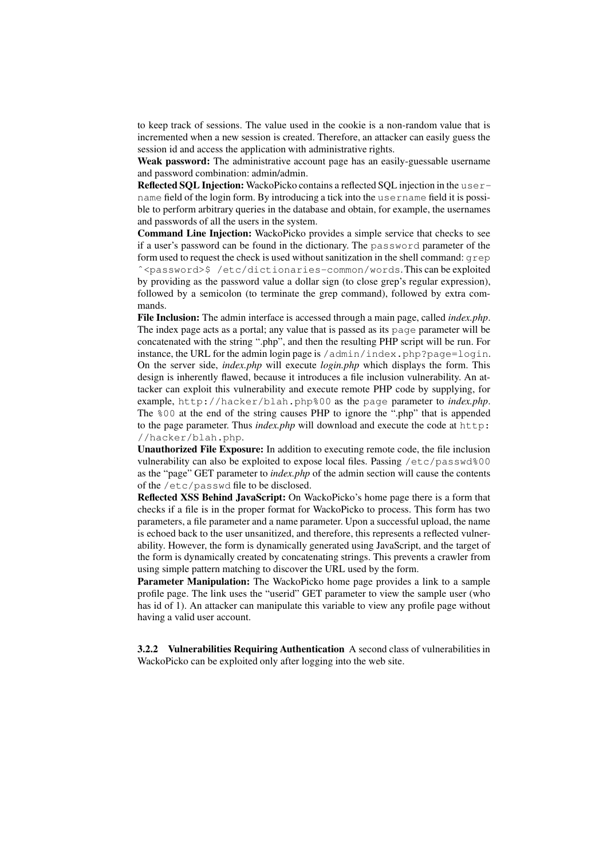to keep track of sessions. The value used in the cookie is a non-random value that is incremented when a new session is created. Therefore, an attacker can easily guess the session id and access the application with administrative rights.

**Weak password:** The administrative account page has an easily-guessable username and password combination: admin/admin.

**Reflected SQL Injection:** WackoPicko contains a reflected SQL injection in the username field of the login form. By introducing a tick into the username field it is possible to perform arbitrary queries in the database and obtain, for example, the usernames and passwords of all the users in the system.

**Command Line Injection:** WackoPicko provides a simple service that checks to see if a user's password can be found in the dictionary. The password parameter of the form used to request the check is used without sanitization in the shell command:  $q_{\text{rep}}$ 

ˆ<password>\$ /etc/dictionaries-common/words. This can be exploited by providing as the password value a dollar sign (to close grep's regular expression), followed by a semicolon (to terminate the grep command), followed by extra commands.

**File Inclusion:** The admin interface is accessed through a main page, called *index.php*. The index page acts as a portal; any value that is passed as its page parameter will be concatenated with the string ".php", and then the resulting PHP script will be run. For instance, the URL for the admin login page is /admin/index.php?page=login. On the server side, *index.php* will execute *login.php* which displays the form. This design is inherently flawed, because it introduces a file inclusion vulnerability. An attacker can exploit this vulnerability and execute remote PHP code by supplying, for example, http://hacker/blah.php%00 as the page parameter to *index.php*. The %00 at the end of the string causes PHP to ignore the ".php" that is appended to the page parameter. Thus *index.php* will download and execute the code at http: //hacker/blah.php.

**Unauthorized File Exposure:** In addition to executing remote code, the file inclusion vulnerability can also be exploited to expose local files. Passing /etc/passwd%00 as the "page" GET parameter to *index.php* of the admin section will cause the contents of the /etc/passwd file to be disclosed.

**Reflected XSS Behind JavaScript:** On WackoPicko's home page there is a form that checks if a file is in the proper format for WackoPicko to process. This form has two parameters, a file parameter and a name parameter. Upon a successful upload, the name is echoed back to the user unsanitized, and therefore, this represents a reflected vulnerability. However, the form is dynamically generated using JavaScript, and the target of the form is dynamically created by concatenating strings. This prevents a crawler from using simple pattern matching to discover the URL used by the form.

**Parameter Manipulation:** The WackoPicko home page provides a link to a sample profile page. The link uses the "userid" GET parameter to view the sample user (who has id of 1). An attacker can manipulate this variable to view any profile page without having a valid user account.

**3.2.2 Vulnerabilities Requiring Authentication** A second class of vulnerabilities in WackoPicko can be exploited only after logging into the web site.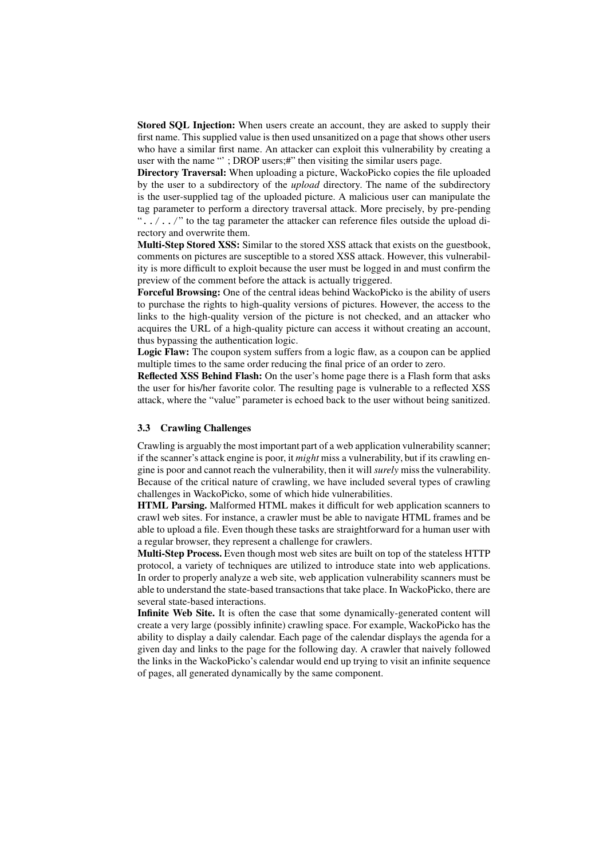**Stored SQL Injection:** When users create an account, they are asked to supply their first name. This supplied value is then used unsanitized on a page that shows other users who have a similar first name. An attacker can exploit this vulnerability by creating a user with the name "'; DROP users;#" then visiting the similar users page.

**Directory Traversal:** When uploading a picture, WackoPicko copies the file uploaded by the user to a subdirectory of the *upload* directory. The name of the subdirectory is the user-supplied tag of the uploaded picture. A malicious user can manipulate the tag parameter to perform a directory traversal attack. More precisely, by pre-pending " $\ldots$ ,  $\ldots$ ," to the tag parameter the attacker can reference files outside the upload directory and overwrite them.

**Multi-Step Stored XSS:** Similar to the stored XSS attack that exists on the guestbook, comments on pictures are susceptible to a stored XSS attack. However, this vulnerability is more difficult to exploit because the user must be logged in and must confirm the preview of the comment before the attack is actually triggered.

**Forceful Browsing:** One of the central ideas behind WackoPicko is the ability of users to purchase the rights to high-quality versions of pictures. However, the access to the links to the high-quality version of the picture is not checked, and an attacker who acquires the URL of a high-quality picture can access it without creating an account, thus bypassing the authentication logic.

**Logic Flaw:** The coupon system suffers from a logic flaw, as a coupon can be applied multiple times to the same order reducing the final price of an order to zero.

**Reflected XSS Behind Flash:** On the user's home page there is a Flash form that asks the user for his/her favorite color. The resulting page is vulnerable to a reflected XSS attack, where the "value" parameter is echoed back to the user without being sanitized.

#### **3.3 Crawling Challenges**

Crawling is arguably the most important part of a web application vulnerability scanner; if the scanner's attack engine is poor, it *might* miss a vulnerability, but if its crawling engine is poor and cannot reach the vulnerability, then it will *surely* miss the vulnerability. Because of the critical nature of crawling, we have included several types of crawling challenges in WackoPicko, some of which hide vulnerabilities.

**HTML Parsing.** Malformed HTML makes it difficult for web application scanners to crawl web sites. For instance, a crawler must be able to navigate HTML frames and be able to upload a file. Even though these tasks are straightforward for a human user with a regular browser, they represent a challenge for crawlers.

**Multi-Step Process.** Even though most web sites are built on top of the stateless HTTP protocol, a variety of techniques are utilized to introduce state into web applications. In order to properly analyze a web site, web application vulnerability scanners must be able to understand the state-based transactions that take place. In WackoPicko, there are several state-based interactions.

**Infinite Web Site.** It is often the case that some dynamically-generated content will create a very large (possibly infinite) crawling space. For example, WackoPicko has the ability to display a daily calendar. Each page of the calendar displays the agenda for a given day and links to the page for the following day. A crawler that naively followed the links in the WackoPicko's calendar would end up trying to visit an infinite sequence of pages, all generated dynamically by the same component.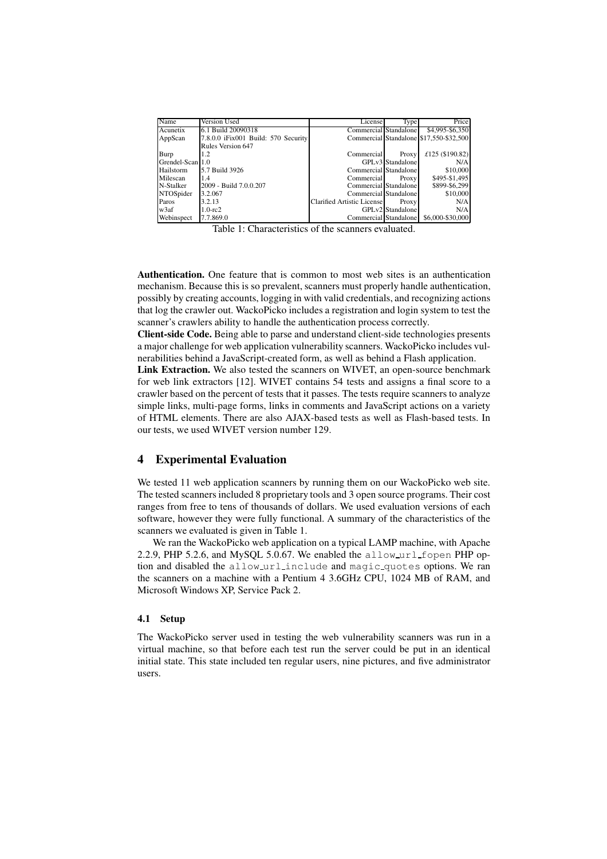| Name             | Version Used                        | License                    | Type             | Price                                   |
|------------------|-------------------------------------|----------------------------|------------------|-----------------------------------------|
| Acunetix         | 6.1 Build 20090318                  | Commercial Standalone      |                  | \$4,995-\$6,350                         |
| AppScan          | 7.8.0.0 iFix001 Build: 570 Security |                            |                  | Commercial Standalone \$17,550-\$32,500 |
|                  | Rules Version 647                   |                            |                  |                                         |
| <b>Burp</b>      | 1.2                                 | Commercial                 | Proxy            | £125 (\$190.82)                         |
| Grendel-Scan 1.0 |                                     |                            | GPLv3 Standalone | N/A                                     |
| Hailstorm        | 5.7 Build 3926                      | Commercial Standalone      |                  | \$10,000                                |
| Milescan         | 1.4                                 | Commercial                 | Proxy            | \$495-\$1,495                           |
| N-Stalker        | 2009 - Build 7.0.0.207              | Commercial Standalone      |                  | \$899-\$6,299                           |
| NTOSpider        | 3.2.067                             | Commercial Standalone      |                  | \$10,000                                |
| Paros            | 3.2.13                              | Clarified Artistic License | Proxy            | N/A                                     |
| w3af             | $1.0$ -rc $2$                       |                            | GPLv2 Standalone | N/A                                     |
| Webinspect       | 7.7.869.0                           | Commercial Standalone      |                  | \$6,000-\$30,000                        |

Table 1: Characteristics of the scanners evaluated.

**Authentication.** One feature that is common to most web sites is an authentication mechanism. Because this is so prevalent, scanners must properly handle authentication, possibly by creating accounts, logging in with valid credentials, and recognizing actions that log the crawler out. WackoPicko includes a registration and login system to test the scanner's crawlers ability to handle the authentication process correctly.

**Client-side Code.** Being able to parse and understand client-side technologies presents a major challenge for web application vulnerability scanners. WackoPicko includes vulnerabilities behind a JavaScript-created form, as well as behind a Flash application.

**Link Extraction.** We also tested the scanners on WIVET, an open-source benchmark for web link extractors [12]. WIVET contains 54 tests and assigns a final score to a crawler based on the percent of tests that it passes. The tests require scanners to analyze simple links, multi-page forms, links in comments and JavaScript actions on a variety of HTML elements. There are also AJAX-based tests as well as Flash-based tests. In our tests, we used WIVET version number 129.

## **4 Experimental Evaluation**

We tested 11 web application scanners by running them on our WackoPicko web site. The tested scanners included 8 proprietary tools and 3 open source programs. Their cost ranges from free to tens of thousands of dollars. We used evaluation versions of each software, however they were fully functional. A summary of the characteristics of the scanners we evaluated is given in Table 1.

We ran the WackoPicko web application on a typical LAMP machine, with Apache 2.2.9, PHP 5.2.6, and MySQL 5.0.67. We enabled the allow url fopen PHP option and disabled the allow url include and magic quotes options. We ran the scanners on a machine with a Pentium 4 3.6GHz CPU, 1024 MB of RAM, and Microsoft Windows XP, Service Pack 2.

## **4.1 Setup**

The WackoPicko server used in testing the web vulnerability scanners was run in a virtual machine, so that before each test run the server could be put in an identical initial state. This state included ten regular users, nine pictures, and five administrator users.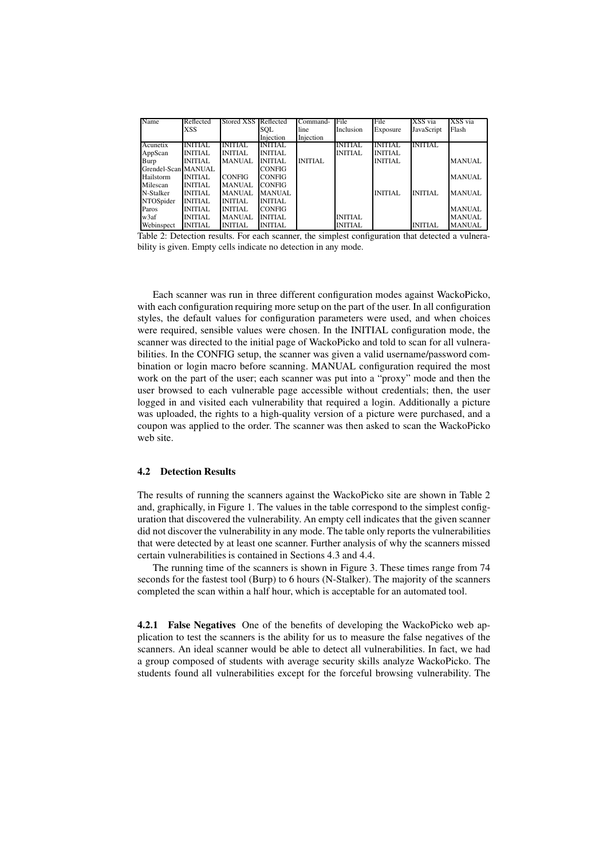| Name                | Reflected      | Stored XSS Reflected |                | Command-       | File           | File           | XSS via        | XSS via       |
|---------------------|----------------|----------------------|----------------|----------------|----------------|----------------|----------------|---------------|
|                     | <b>XSS</b>     |                      | SOL            | line           | Inclusion      | Exposure       | JavaScript     | Flash         |
|                     |                |                      | Injection      | Injection      |                |                |                |               |
| Acunetix            | <b>INITIAL</b> | <b>INITIAL</b>       | <b>INITIAL</b> |                | <b>INITIAL</b> | <b>INITIAL</b> | <b>INITIAL</b> |               |
| AppScan             | <b>INITIAL</b> | <b>INITIAL</b>       | <b>INITIAL</b> |                | <b>INITIAL</b> | <b>INITIAL</b> |                |               |
| Burp                | <b>INITIAL</b> | MANUAL               | <b>INITIAL</b> | <b>INITIAL</b> |                | <b>INITIAL</b> |                | <b>MANUAL</b> |
| Grendel-Scan MANUAL |                |                      | <b>CONFIG</b>  |                |                |                |                |               |
| Hailstorm           | <b>INITIAL</b> | <b>CONFIG</b>        | <b>CONFIG</b>  |                |                |                |                | <b>MANUAL</b> |
| Milescan            | INITIAL        | MANUAL               | <b>CONFIG</b>  |                |                |                |                |               |
| N-Stalker           | <b>INITIAL</b> | <b>MANUAL</b>        | MANUAL         |                |                | <b>INITIAL</b> | <b>INITIAL</b> | MANUAL        |
| NTOSpider           | <b>INITIAL</b> | <b>INITIAL</b>       | <b>INITIAL</b> |                |                |                |                |               |
| Paros               | <b>INITIAL</b> | <b>INITIAL</b>       | <b>CONFIG</b>  |                |                |                |                | <b>MANUAL</b> |
| w3af                | <b>INITIAL</b> | MANUAL               | <b>INITIAL</b> |                | <b>INITIAL</b> |                |                | <b>MANUAL</b> |
| Webinspect          | <b>INITIAL</b> | <b>INITIAL</b>       | <b>INITIAL</b> |                | <b>INITIAL</b> |                | <b>INITIAL</b> | <b>MANUAL</b> |

Table 2: Detection results. For each scanner, the simplest configuration that detected a vulnerability is given. Empty cells indicate no detection in any mode.

Each scanner was run in three different configuration modes against WackoPicko, with each configuration requiring more setup on the part of the user. In all configuration styles, the default values for configuration parameters were used, and when choices were required, sensible values were chosen. In the INITIAL configuration mode, the scanner was directed to the initial page of WackoPicko and told to scan for all vulnerabilities. In the CONFIG setup, the scanner was given a valid username/password combination or login macro before scanning. MANUAL configuration required the most work on the part of the user; each scanner was put into a "proxy" mode and then the user browsed to each vulnerable page accessible without credentials; then, the user logged in and visited each vulnerability that required a login. Additionally a picture was uploaded, the rights to a high-quality version of a picture were purchased, and a coupon was applied to the order. The scanner was then asked to scan the WackoPicko web site.

#### **4.2 Detection Results**

The results of running the scanners against the WackoPicko site are shown in Table 2 and, graphically, in Figure 1. The values in the table correspond to the simplest configuration that discovered the vulnerability. An empty cell indicates that the given scanner did not discover the vulnerability in any mode. The table only reports the vulnerabilities that were detected by at least one scanner. Further analysis of why the scanners missed certain vulnerabilities is contained in Sections 4.3 and 4.4.

The running time of the scanners is shown in Figure 3. These times range from 74 seconds for the fastest tool (Burp) to 6 hours (N-Stalker). The majority of the scanners completed the scan within a half hour, which is acceptable for an automated tool.

**4.2.1 False Negatives** One of the benefits of developing the WackoPicko web application to test the scanners is the ability for us to measure the false negatives of the scanners. An ideal scanner would be able to detect all vulnerabilities. In fact, we had a group composed of students with average security skills analyze WackoPicko. The students found all vulnerabilities except for the forceful browsing vulnerability. The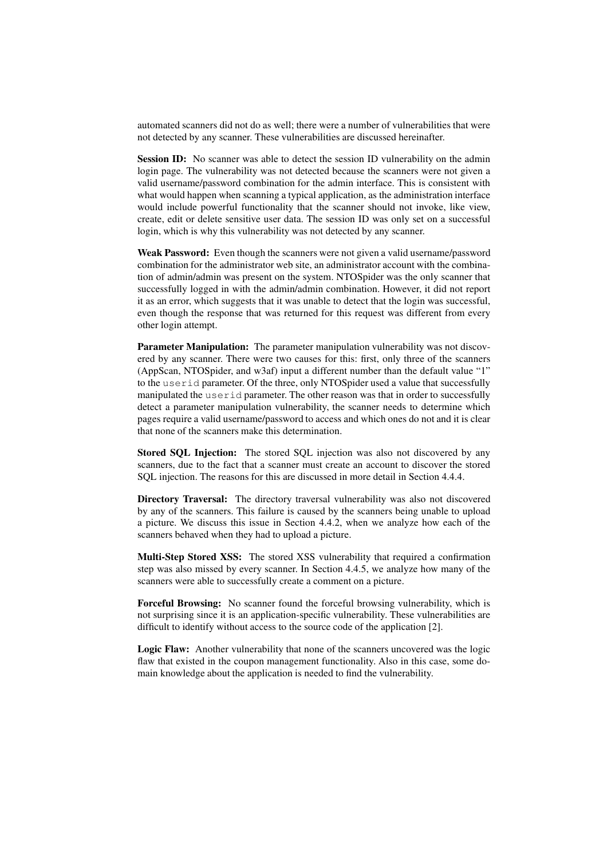automated scanners did not do as well; there were a number of vulnerabilities that were not detected by any scanner. These vulnerabilities are discussed hereinafter.

**Session ID:** No scanner was able to detect the session ID vulnerability on the admin login page. The vulnerability was not detected because the scanners were not given a valid username/password combination for the admin interface. This is consistent with what would happen when scanning a typical application, as the administration interface would include powerful functionality that the scanner should not invoke, like view, create, edit or delete sensitive user data. The session ID was only set on a successful login, which is why this vulnerability was not detected by any scanner.

**Weak Password:** Even though the scanners were not given a valid username/password combination for the administrator web site, an administrator account with the combination of admin/admin was present on the system. NTOSpider was the only scanner that successfully logged in with the admin/admin combination. However, it did not report it as an error, which suggests that it was unable to detect that the login was successful, even though the response that was returned for this request was different from every other login attempt.

**Parameter Manipulation:** The parameter manipulation vulnerability was not discovered by any scanner. There were two causes for this: first, only three of the scanners (AppScan, NTOSpider, and w3af) input a different number than the default value "1" to the userid parameter. Of the three, only NTOSpider used a value that successfully manipulated the userid parameter. The other reason was that in order to successfully detect a parameter manipulation vulnerability, the scanner needs to determine which pages require a valid username/password to access and which ones do not and it is clear that none of the scanners make this determination.

**Stored SQL Injection:** The stored SQL injection was also not discovered by any scanners, due to the fact that a scanner must create an account to discover the stored SQL injection. The reasons for this are discussed in more detail in Section 4.4.4.

**Directory Traversal:** The directory traversal vulnerability was also not discovered by any of the scanners. This failure is caused by the scanners being unable to upload a picture. We discuss this issue in Section 4.4.2, when we analyze how each of the scanners behaved when they had to upload a picture.

**Multi-Step Stored XSS:** The stored XSS vulnerability that required a confirmation step was also missed by every scanner. In Section 4.4.5, we analyze how many of the scanners were able to successfully create a comment on a picture.

**Forceful Browsing:** No scanner found the forceful browsing vulnerability, which is not surprising since it is an application-specific vulnerability. These vulnerabilities are difficult to identify without access to the source code of the application [2].

**Logic Flaw:** Another vulnerability that none of the scanners uncovered was the logic flaw that existed in the coupon management functionality. Also in this case, some domain knowledge about the application is needed to find the vulnerability.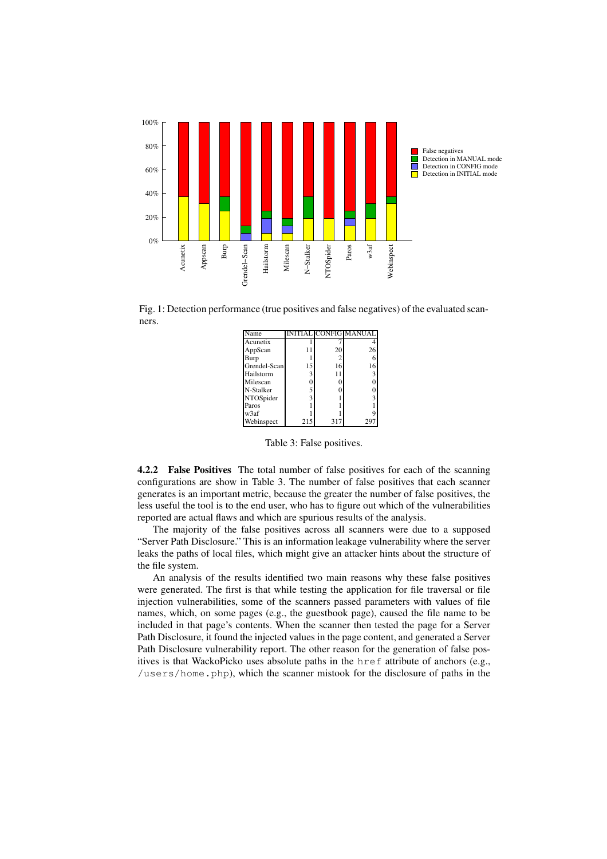

Fig. 1: Detection performance (true positives and false negatives) of the evaluated scanners.

| Jame         |     |     | NITIAL CONFIG MANUAI |
|--------------|-----|-----|----------------------|
| Acunetix     |     |     |                      |
| AppScan      |     | 20  | 26                   |
| Burp         |     |     |                      |
| Grendel-Scan | 15  | 16  | 16                   |
| Hailstorm    |     |     |                      |
| Milescan     |     |     |                      |
| N-Stalker    |     |     |                      |
| NTOSpider    |     |     |                      |
| Paros        |     |     |                      |
| w3af         |     |     |                      |
| Webinspect   | 215 | 317 |                      |

Table 3: False positives.

**4.2.2 False Positives** The total number of false positives for each of the scanning configurations are show in Table 3. The number of false positives that each scanner generates is an important metric, because the greater the number of false positives, the less useful the tool is to the end user, who has to figure out which of the vulnerabilities reported are actual flaws and which are spurious results of the analysis.

The majority of the false positives across all scanners were due to a supposed "Server Path Disclosure." This is an information leakage vulnerability where the server leaks the paths of local files, which might give an attacker hints about the structure of the file system.

An analysis of the results identified two main reasons why these false positives were generated. The first is that while testing the application for file traversal or file injection vulnerabilities, some of the scanners passed parameters with values of file names, which, on some pages (e.g., the guestbook page), caused the file name to be included in that page's contents. When the scanner then tested the page for a Server Path Disclosure, it found the injected values in the page content, and generated a Server Path Disclosure vulnerability report. The other reason for the generation of false positives is that WackoPicko uses absolute paths in the href attribute of anchors (e.g., /users/home.php), which the scanner mistook for the disclosure of paths in the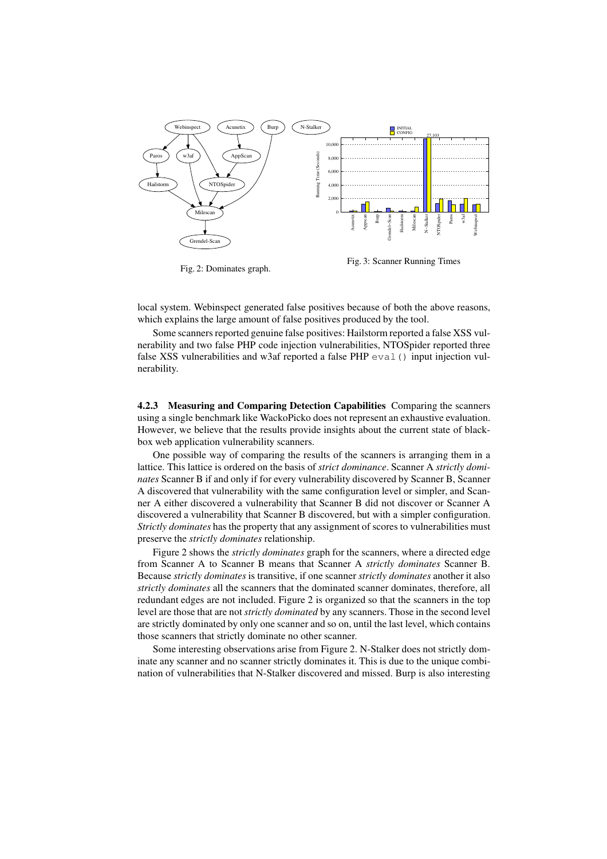

local system. Webinspect generated false positives because of both the above reasons, which explains the large amount of false positives produced by the tool.

Some scanners reported genuine false positives: Hailstorm reported a false XSS vulnerability and two false PHP code injection vulnerabilities, NTOSpider reported three false XSS vulnerabilities and w3af reported a false PHP  $\infty$  () input injection vulnerability.

**4.2.3 Measuring and Comparing Detection Capabilities** Comparing the scanners using a single benchmark like WackoPicko does not represent an exhaustive evaluation. However, we believe that the results provide insights about the current state of blackbox web application vulnerability scanners.

One possible way of comparing the results of the scanners is arranging them in a lattice. This lattice is ordered on the basis of *strict dominance*. Scanner A *strictly dominates* Scanner B if and only if for every vulnerability discovered by Scanner B, Scanner A discovered that vulnerability with the same configuration level or simpler, and Scanner A either discovered a vulnerability that Scanner B did not discover or Scanner A discovered a vulnerability that Scanner B discovered, but with a simpler configuration. *Strictly dominates* has the property that any assignment of scores to vulnerabilities must preserve the *strictly dominates* relationship.

Figure 2 shows the *strictly dominates* graph for the scanners, where a directed edge from Scanner A to Scanner B means that Scanner A *strictly dominates* Scanner B. Because *strictly dominates* is transitive, if one scanner *strictly dominates* another it also *strictly dominates* all the scanners that the dominated scanner dominates, therefore, all redundant edges are not included. Figure 2 is organized so that the scanners in the top level are those that are not *strictly dominated* by any scanners. Those in the second level are strictly dominated by only one scanner and so on, until the last level, which contains those scanners that strictly dominate no other scanner.

Some interesting observations arise from Figure 2. N-Stalker does not strictly dominate any scanner and no scanner strictly dominates it. This is due to the unique combination of vulnerabilities that N-Stalker discovered and missed. Burp is also interesting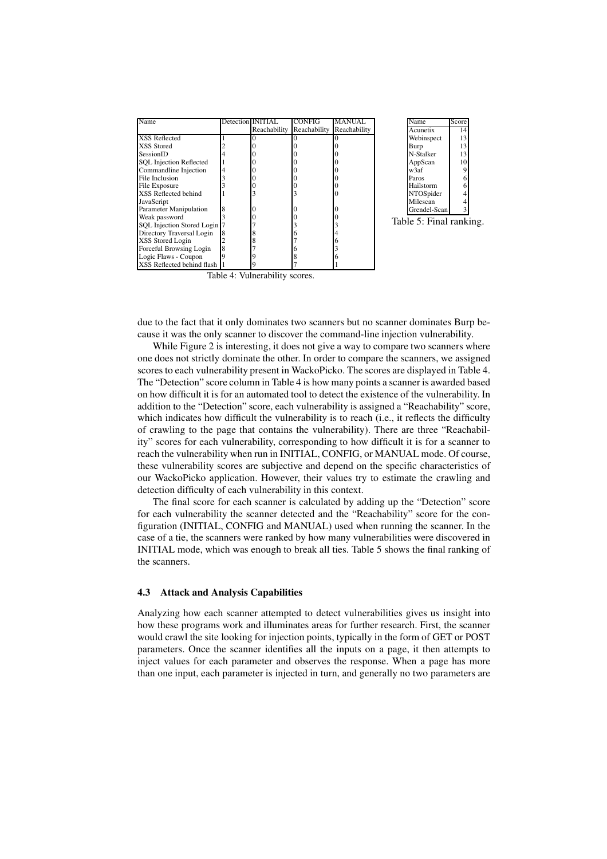| Name                              | Detection INITIA |              | CONFIG       | MANUAI       |  |  |
|-----------------------------------|------------------|--------------|--------------|--------------|--|--|
|                                   |                  | Reachability | Reachability | Reachability |  |  |
| <b>XSS Reflected</b>              |                  |              |              |              |  |  |
| XSS Stored                        |                  |              |              |              |  |  |
| SessionID                         |                  |              |              |              |  |  |
| <b>SOL Injection Reflected</b>    |                  |              |              |              |  |  |
| Commandline Injection             |                  |              |              |              |  |  |
| File Inclusion                    |                  |              |              |              |  |  |
| File Exposure                     |                  |              |              |              |  |  |
| <b>XSS Reflected behind</b>       |                  |              | 3            |              |  |  |
| JavaScript                        |                  |              |              |              |  |  |
| Parameter Manipulation            | 8                |              | 0            |              |  |  |
| Weak password                     | 3                |              |              |              |  |  |
| <b>SOL Injection Stored Login</b> |                  |              |              |              |  |  |
| Directory Traversal Login         | 8                | 8            | 6            |              |  |  |
| XSS Stored Login                  |                  |              |              |              |  |  |
| Forceful Browsing Login           | 8                |              | h            |              |  |  |
| Logic Flaws - Coupon              |                  |              |              |              |  |  |
| XSS Reflected behind flash        |                  |              |              |              |  |  |

| Name                    | Score |  |
|-------------------------|-------|--|
| Acunetix                | 14    |  |
| Webinspect              | 13    |  |
| Burp                    | 13    |  |
| N-Stalker               | 13    |  |
| AppScan                 | 10    |  |
| w3af                    | 9     |  |
| Paros                   | 6     |  |
| Hailstorm               | 6     |  |
| NTOSpider               | 4     |  |
| Milescan                | 4     |  |
| Grendel-Scan            | 3     |  |
| Table 5: Final ranking. |       |  |

Table 4: Vulnerability scores.

due to the fact that it only dominates two scanners but no scanner dominates Burp because it was the only scanner to discover the command-line injection vulnerability.

While Figure 2 is interesting, it does not give a way to compare two scanners where one does not strictly dominate the other. In order to compare the scanners, we assigned scores to each vulnerability present in WackoPicko. The scores are displayed in Table 4. The "Detection" score column in Table 4 is how many points a scanner is awarded based on how difficult it is for an automated tool to detect the existence of the vulnerability. In addition to the "Detection" score, each vulnerability is assigned a "Reachability" score, which indicates how difficult the vulnerability is to reach (i.e., it reflects the difficulty of crawling to the page that contains the vulnerability). There are three "Reachability" scores for each vulnerability, corresponding to how difficult it is for a scanner to reach the vulnerability when run in INITIAL, CONFIG, or MANUAL mode. Of course, these vulnerability scores are subjective and depend on the specific characteristics of our WackoPicko application. However, their values try to estimate the crawling and detection difficulty of each vulnerability in this context.

The final score for each scanner is calculated by adding up the "Detection" score for each vulnerability the scanner detected and the "Reachability" score for the configuration (INITIAL, CONFIG and MANUAL) used when running the scanner. In the case of a tie, the scanners were ranked by how many vulnerabilities were discovered in INITIAL mode, which was enough to break all ties. Table 5 shows the final ranking of the scanners.

#### **4.3 Attack and Analysis Capabilities**

Analyzing how each scanner attempted to detect vulnerabilities gives us insight into how these programs work and illuminates areas for further research. First, the scanner would crawl the site looking for injection points, typically in the form of GET or POST parameters. Once the scanner identifies all the inputs on a page, it then attempts to inject values for each parameter and observes the response. When a page has more than one input, each parameter is injected in turn, and generally no two parameters are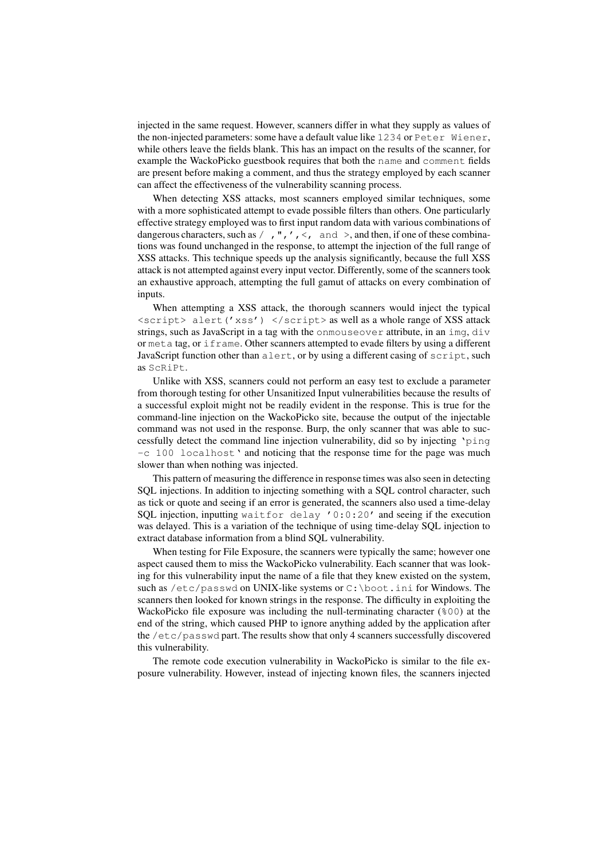injected in the same request. However, scanners differ in what they supply as values of the non-injected parameters: some have a default value like 1234 or Peter Wiener, while others leave the fields blank. This has an impact on the results of the scanner, for example the WackoPicko guestbook requires that both the name and comment fields are present before making a comment, and thus the strategy employed by each scanner can affect the effectiveness of the vulnerability scanning process.

When detecting XSS attacks, most scanners employed similar techniques, some with a more sophisticated attempt to evade possible filters than others. One particularly effective strategy employed was to first input random data with various combinations of dangerous characters, such as  $/$ , ",  $\prime$ ,  $\lt$ , and  $>$ , and then, if one of these combinations was found unchanged in the response, to attempt the injection of the full range of XSS attacks. This technique speeds up the analysis significantly, because the full XSS attack is not attempted against every input vector. Differently, some of the scanners took an exhaustive approach, attempting the full gamut of attacks on every combination of inputs.

When attempting a XSS attack, the thorough scanners would inject the typical  $\langle \text{script} \rangle$  alert('xss')  $\langle \text{script} \rangle$  as well as a whole range of XSS attack strings, such as JavaScript in a tag with the onmouseover attribute, in an img, div or meta tag, or iframe. Other scanners attempted to evade filters by using a different JavaScript function other than alert, or by using a different casing of script, such as ScRiPt.

Unlike with XSS, scanners could not perform an easy test to exclude a parameter from thorough testing for other Unsanitized Input vulnerabilities because the results of a successful exploit might not be readily evident in the response. This is true for the command-line injection on the WackoPicko site, because the output of the injectable command was not used in the response. Burp, the only scanner that was able to successfully detect the command line injection vulnerability, did so by injecting 'ping  $-c$  100 localhost ' and noticing that the response time for the page was much slower than when nothing was injected.

This pattern of measuring the difference in response times was also seen in detecting SQL injections. In addition to injecting something with a SQL control character, such as tick or quote and seeing if an error is generated, the scanners also used a time-delay SQL injection, inputting waitfor delay '0:0:20' and seeing if the execution was delayed. This is a variation of the technique of using time-delay SQL injection to extract database information from a blind SQL vulnerability.

When testing for File Exposure, the scanners were typically the same; however one aspect caused them to miss the WackoPicko vulnerability. Each scanner that was looking for this vulnerability input the name of a file that they knew existed on the system, such as /etc/passwd on UNIX-like systems or C:\boot.ini for Windows. The scanners then looked for known strings in the response. The difficulty in exploiting the WackoPicko file exposure was including the null-terminating character (%00) at the end of the string, which caused PHP to ignore anything added by the application after the /etc/passwd part. The results show that only 4 scanners successfully discovered this vulnerability.

The remote code execution vulnerability in WackoPicko is similar to the file exposure vulnerability. However, instead of injecting known files, the scanners injected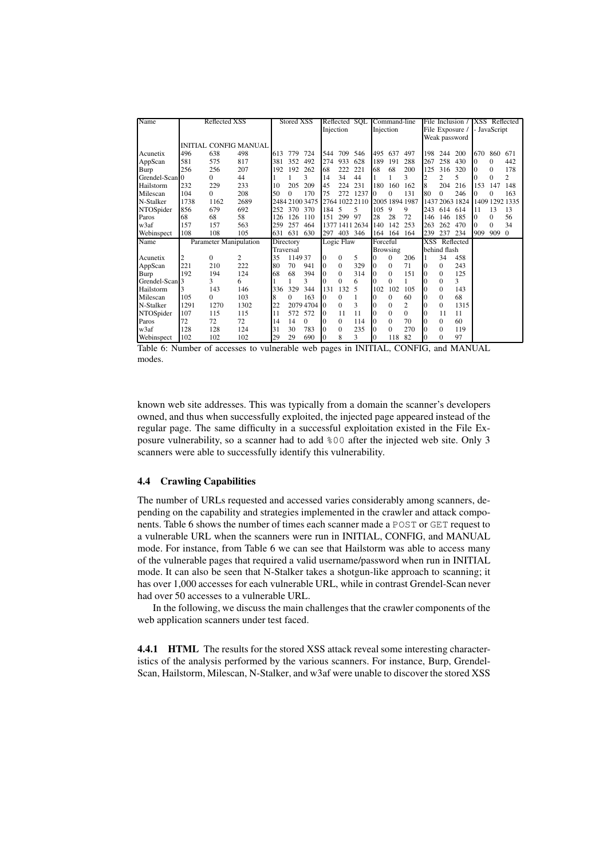| Name           |      | Reflected XSS          |                              |           | <b>Stored XSS</b> |                |                |              | Reflected SQL  |           | Command-line    |                |                  |          | File Inclusion / |          |              | XSS Reflected  |
|----------------|------|------------------------|------------------------------|-----------|-------------------|----------------|----------------|--------------|----------------|-----------|-----------------|----------------|------------------|----------|------------------|----------|--------------|----------------|
|                |      |                        |                              |           |                   |                | Injection      |              |                | Injection |                 |                |                  |          | File Exposure /  |          | - JavaScript |                |
|                |      |                        |                              |           |                   |                |                |              |                |           |                 |                |                  |          | Weak password    |          |              |                |
|                |      |                        | <b>INITIAL CONFIG MANUAL</b> |           |                   |                |                |              |                |           |                 |                |                  |          |                  |          |              |                |
| Acunetix       | 496  | 638                    | 498                          | 613       | 779               | 724            | 544            | 709          | 546            | 495       | 637             | 497            | 198              | 244      | 200              | 670      | 860          | 671            |
| AppScan        | 581  | 575                    | 817                          | 381       | 352               | 492            | 274            | 933          | 628            | 189       | 191             | 288            | 267              | 258      | 430              | $\Omega$ | 0            | 442            |
| Burp           | 256  | 256                    | 207                          | 192       | 192               | 262            | 68             | 222          | 221            | 68        | 68              | 200            | 125              | 316      | 320              | $\Omega$ | $\Omega$     | 178            |
| Grendel-Scan 0 |      | 0                      | 44                           |           |                   | 3              | 14             | 34           | 44             |           |                 | 3              | 2                | 2        | 5                | 0        | 0            | 2              |
| Hailstorm      | 232  | 229                    | 233                          | 10        | 205               | 209            | 45             | 224          | 231            | 180       | 160             | 162            | 8                | 204      | 216              | 153      | 147          | 148            |
| Milescan       | 104  | 0                      | 208                          | 50        | $\Omega$          | 170            | 75             |              | 272 1237       | $\Omega$  | $\Omega$        | 131            | 80               | 0        | 246              | $\Omega$ | 0            | 163            |
| N-Stalker      | 1738 | 1162                   | 2689                         |           |                   | 2484 2100 3475 |                |              | 2764 1022 2110 |           |                 | 2005 1894 1987 |                  |          | 1437 2063 1824   |          |              | 1409 1292 1335 |
| NTOSpider      | 856  | 679                    | 692                          | 252       | 370               | 370            | 184            | 5            | 5              | 105       | 9               | 9              | 243              | 614      | 614              | 11       | 13           | 13             |
| Paros          | 68   | 68                     | 58                           | 126       | 126               | 110            | 151            | 299 97       |                | 28        | 28              | 72             | 146              | 146      | 185              | $\Omega$ | $\Omega$     | 56             |
| w3af           | 157  | 157                    | 563                          | 259       | 257               | 464            |                |              | 1377 1411 2634 | 140       | 142             | 253            | 263              | 262      | 470              | $\Omega$ | 0            | 34             |
| Webinspect     | 108  | 108                    | 105                          | 631       | 631               | 630            | 297            | 403 346      |                | 164       | 164             | 164            | 239              | 237      | 234              | 909      | 909          | $\mathbf{0}$   |
| Name           |      | Parameter Manipulation |                              |           | Directory         |                |                | Logic Flaw   |                | Forceful  |                 |                | XSS Reflected    |          |                  |          |              |                |
|                |      |                        |                              | Traversal |                   |                |                |              |                |           | <b>Browsing</b> |                | behind flash     |          |                  |          |              |                |
| Acunetix       | 2    | $\theta$               | $\overline{c}$               | 35        | 114937            |                | $\Omega$       | $\mathbf{0}$ | 5              | $\Omega$  | $\mathbf{0}$    | 206            | 1                | 34       | 458              |          |              |                |
| AppScan        | 221  | 210                    | 222                          | 80        | 70                | 941            | $\Omega$       | $\Omega$     | 329            | $\Omega$  | $\Omega$        | 71             | $\Omega$         | 0        | 243              |          |              |                |
| Burp           | 192  | 194                    | 124                          | 68        | 68                | 394            | $\Omega$       | $\theta$     | 314            | l0        | $\Omega$        | 151            | $\Omega$         | 0        | 125              |          |              |                |
| Grendel-Scan 3 |      | 3                      | 6                            |           |                   | 3              | $\Omega$       | $\Omega$     | 6              | $\Omega$  | $\Omega$        |                | $\Omega$         | 0        | 3                |          |              |                |
| Hailstorm      |      | 143                    | 146                          | 336       | 329               | 344            | 131            | 132          | $\overline{2}$ | 102       | 102             | 105            | $\theta$         | 0        | 143              |          |              |                |
| Milescan       | 105  | $\theta$               | 103                          | 8         | $\Omega$          | 163            | $\Omega$       | $\theta$     |                | $\Omega$  | $\Omega$        | 60             | $\Omega$         | 0        | 68               |          |              |                |
| N-Stalker      | 1291 | 1270                   | 1302                         | 22        |                   | 2079 4704      | I0             | $\theta$     | 3              | $\Omega$  | $\theta$        | 2              | $\boldsymbol{0}$ | 0        | 1315             |          |              |                |
| NTOSpider      | 107  | 115                    | 115                          | 11        | 572               | 572            | $\overline{0}$ | 11           | 11             | $\Omega$  | $\theta$        | $\Omega$       | $\theta$         | 11       | 11               |          |              |                |
| Paros          | 72   | 72                     | 72                           | 14        | 14                | $\Omega$       | $\Omega$       | $\theta$     | 114            | $\Omega$  | $\theta$        | 70             | $\theta$         | $\theta$ | 60               |          |              |                |
| w3af           | 128  | 128                    | 124                          | 31        | 30                | 783            | $\Omega$       | $\mathbf{0}$ | 235            | $\Omega$  | $\Omega$        | 270            | $\Omega$         | 0        | 119              |          |              |                |
| Webinspect     | 102  | 102                    | 102                          | 29        | 29                | 690            | $\Omega$       | 8            | 3              | 0         | 118             | 82             | 0                | 0        | 97               |          |              |                |

Table 6: Number of accesses to vulnerable web pages in INITIAL, CONFIG, and MANUAL modes.

known web site addresses. This was typically from a domain the scanner's developers owned, and thus when successfully exploited, the injected page appeared instead of the regular page. The same difficulty in a successful exploitation existed in the File Exposure vulnerability, so a scanner had to add %00 after the injected web site. Only 3 scanners were able to successfully identify this vulnerability.

## **4.4 Crawling Capabilities**

The number of URLs requested and accessed varies considerably among scanners, depending on the capability and strategies implemented in the crawler and attack components. Table 6 shows the number of times each scanner made a POST or GET request to a vulnerable URL when the scanners were run in INITIAL, CONFIG, and MANUAL mode. For instance, from Table 6 we can see that Hailstorm was able to access many of the vulnerable pages that required a valid username/password when run in INITIAL mode. It can also be seen that N-Stalker takes a shotgun-like approach to scanning; it has over 1,000 accesses for each vulnerable URL, while in contrast Grendel-Scan never had over 50 accesses to a vulnerable URL.

In the following, we discuss the main challenges that the crawler components of the web application scanners under test faced.

**4.4.1 HTML** The results for the stored XSS attack reveal some interesting characteristics of the analysis performed by the various scanners. For instance, Burp, Grendel-Scan, Hailstorm, Milescan, N-Stalker, and w3af were unable to discover the stored XSS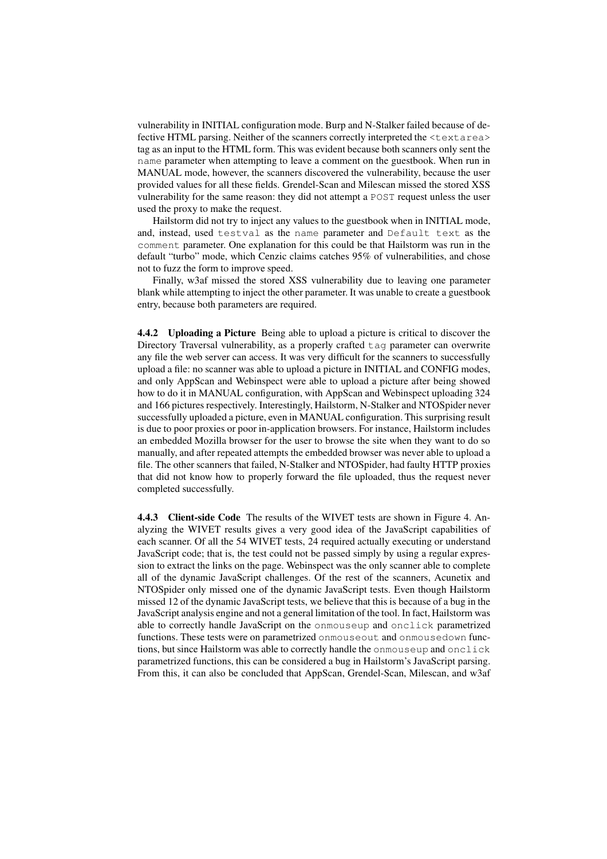vulnerability in INITIAL configuration mode. Burp and N-Stalker failed because of defective HTML parsing. Neither of the scanners correctly interpreted the <textarea> tag as an input to the HTML form. This was evident because both scanners only sent the name parameter when attempting to leave a comment on the guestbook. When run in MANUAL mode, however, the scanners discovered the vulnerability, because the user provided values for all these fields. Grendel-Scan and Milescan missed the stored XSS vulnerability for the same reason: they did not attempt a POST request unless the user used the proxy to make the request.

Hailstorm did not try to inject any values to the guestbook when in INITIAL mode, and, instead, used testval as the name parameter and Default text as the comment parameter. One explanation for this could be that Hailstorm was run in the default "turbo" mode, which Cenzic claims catches 95% of vulnerabilities, and chose not to fuzz the form to improve speed.

Finally, w3af missed the stored XSS vulnerability due to leaving one parameter blank while attempting to inject the other parameter. It was unable to create a guestbook entry, because both parameters are required.

**4.4.2 Uploading a Picture** Being able to upload a picture is critical to discover the Directory Traversal vulnerability, as a properly crafted tag parameter can overwrite any file the web server can access. It was very difficult for the scanners to successfully upload a file: no scanner was able to upload a picture in INITIAL and CONFIG modes, and only AppScan and Webinspect were able to upload a picture after being showed how to do it in MANUAL configuration, with AppScan and Webinspect uploading 324 and 166 pictures respectively. Interestingly, Hailstorm, N-Stalker and NTOSpider never successfully uploaded a picture, even in MANUAL configuration. This surprising result is due to poor proxies or poor in-application browsers. For instance, Hailstorm includes an embedded Mozilla browser for the user to browse the site when they want to do so manually, and after repeated attempts the embedded browser was never able to upload a file. The other scanners that failed, N-Stalker and NTOSpider, had faulty HTTP proxies that did not know how to properly forward the file uploaded, thus the request never completed successfully.

**4.4.3 Client-side Code** The results of the WIVET tests are shown in Figure 4. Analyzing the WIVET results gives a very good idea of the JavaScript capabilities of each scanner. Of all the 54 WIVET tests, 24 required actually executing or understand JavaScript code; that is, the test could not be passed simply by using a regular expression to extract the links on the page. Webinspect was the only scanner able to complete all of the dynamic JavaScript challenges. Of the rest of the scanners, Acunetix and NTOSpider only missed one of the dynamic JavaScript tests. Even though Hailstorm missed 12 of the dynamic JavaScript tests, we believe that this is because of a bug in the JavaScript analysis engine and not a general limitation of the tool. In fact, Hailstorm was able to correctly handle JavaScript on the onmouseup and onclick parametrized functions. These tests were on parametrized onmouseout and onmousedown functions, but since Hailstorm was able to correctly handle the onmouseup and onclick parametrized functions, this can be considered a bug in Hailstorm's JavaScript parsing. From this, it can also be concluded that AppScan, Grendel-Scan, Milescan, and w3af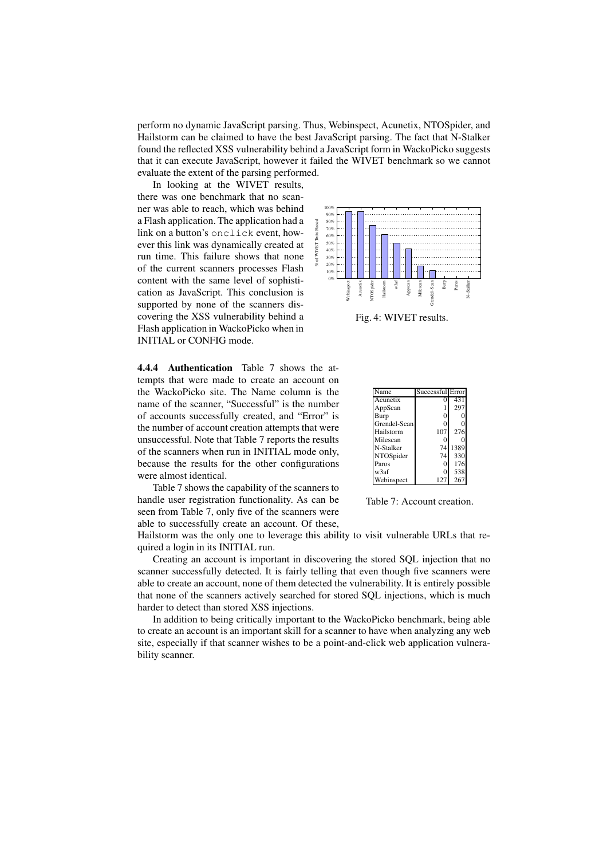perform no dynamic JavaScript parsing. Thus, Webinspect, Acunetix, NTOSpider, and Hailstorm can be claimed to have the best JavaScript parsing. The fact that N-Stalker found the reflected XSS vulnerability behind a JavaScript form in WackoPicko suggests that it can execute JavaScript, however it failed the WIVET benchmark so we cannot evaluate the extent of the parsing performed.

In looking at the WIVET results, there was one benchmark that no scanner was able to reach, which was behind a Flash application. The application had a link on a button's onclick event, however this link was dynamically created at run time. This failure shows that none of the current scanners processes Flash content with the same level of sophistication as JavaScript. This conclusion is supported by none of the scanners discovering the XSS vulnerability behind a Flash application in WackoPicko when in INITIAL or CONFIG mode.

**4.4.4 Authentication** Table 7 shows the attempts that were made to create an account on the WackoPicko site. The Name column is the name of the scanner, "Successful" is the number of accounts successfully created, and "Error" is the number of account creation attempts that were unsuccessful. Note that Table 7 reports the results of the scanners when run in INITIAL mode only, because the results for the other configurations were almost identical.

Table 7 shows the capability of the scanners to handle user registration functionality. As can be seen from Table 7, only five of the scanners were able to successfully create an account. Of these,



Fig. 4: WIVET results.

| Vame         | Successful Error |      |
|--------------|------------------|------|
| Acunetix     |                  | 431  |
| AppScan      |                  | 297  |
| Burp         | 0                |      |
| Grendel-Scan | 0                | 0    |
| Hailstorm    | 107              | 276  |
| Milescan     |                  |      |
| N-Stalker    | 74               | 1389 |
| NTOSpider    | 74               | 330  |
| Paros        | 0                | 176  |
| w3af         |                  | 538  |
| Webinspect   | 127              | 267  |

Table 7: Account creation.

Hailstorm was the only one to leverage this ability to visit vulnerable URLs that required a login in its INITIAL run.

Creating an account is important in discovering the stored SQL injection that no scanner successfully detected. It is fairly telling that even though five scanners were able to create an account, none of them detected the vulnerability. It is entirely possible that none of the scanners actively searched for stored SQL injections, which is much harder to detect than stored XSS injections.

In addition to being critically important to the WackoPicko benchmark, being able to create an account is an important skill for a scanner to have when analyzing any web site, especially if that scanner wishes to be a point-and-click web application vulnerability scanner.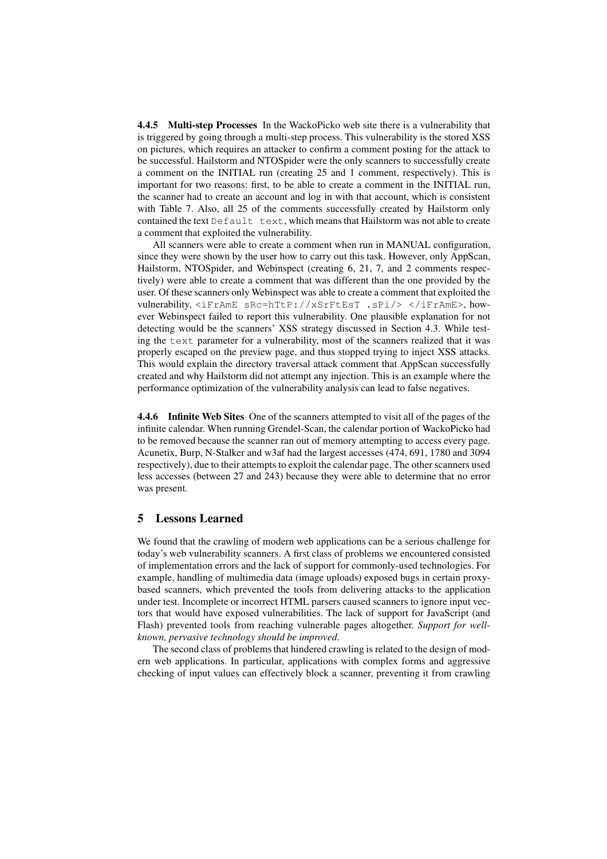**4.4.5 Multi-step Processes** In the WackoPicko web site there is a vulnerability that is triggered by going through a multi-step process. This vulnerability is the stored XSS on pictures, which requires an attacker to confirm a comment posting for the attack to be successful. Hailstorm and NTOSpider were the only scanners to successfully create a comment on the INITIAL run (creating 25 and 1 comment, respectively). This is important for two reasons: first, to be able to create a comment in the INITIAL run, the scanner had to create an account and log in with that account, which is consistent with Table 7. Also, all 25 of the comments successfully created by Hailstorm only contained the text Default text, which means that Hailstorm was not able to create a comment that exploited the vulnerability.

All scanners were able to create a comment when run in MANUAL configuration, since they were shown by the user how to carry out this task. However, only AppScan, Hailstorm, NTOSpider, and Webinspect (creating 6, 21, 7, and 2 comments respectively) were able to create a comment that was different than the one provided by the user. Of these scanners only Webinspect was able to create a comment that exploited the vulnerability, <iFrAmE sRc=hTtP://xSrFtEsT .sPi/> </iFrAmE>, however Webinspect failed to report this vulnerability. One plausible explanation for not detecting would be the scanners' XSS strategy discussed in Section 4.3. While testing the text parameter for a vulnerability, most of the scanners realized that it was properly escaped on the preview page, and thus stopped trying to inject XSS attacks. This would explain the directory traversal attack comment that AppScan successfully created and why Hailstorm did not attempt any injection. This is an example where the performance optimization of the vulnerability analysis can lead to false negatives.

**4.4.6 Infinite Web Sites** One of the scanners attempted to visit all of the pages of the infinite calendar. When running Grendel-Scan, the calendar portion of WackoPicko had to be removed because the scanner ran out of memory attempting to access every page. Acunetix, Burp, N-Stalker and w3af had the largest accesses (474, 691, 1780 and 3094 respectively), due to their attempts to exploit the calendar page. The other scanners used less accesses (between 27 and 243) because they were able to determine that no error was present.

## **5 Lessons Learned**

We found that the crawling of modern web applications can be a serious challenge for today's web vulnerability scanners. A first class of problems we encountered consisted of implementation errors and the lack of support for commonly-used technologies. For example, handling of multimedia data (image uploads) exposed bugs in certain proxybased scanners, which prevented the tools from delivering attacks to the application under test. Incomplete or incorrect HTML parsers caused scanners to ignore input vectors that would have exposed vulnerabilities. The lack of support for JavaScript (and Flash) prevented tools from reaching vulnerable pages altogether. *Support for wellknown, pervasive technology should be improved*.

The second class of problems that hindered crawling is related to the design of modern web applications. In particular, applications with complex forms and aggressive checking of input values can effectively block a scanner, preventing it from crawling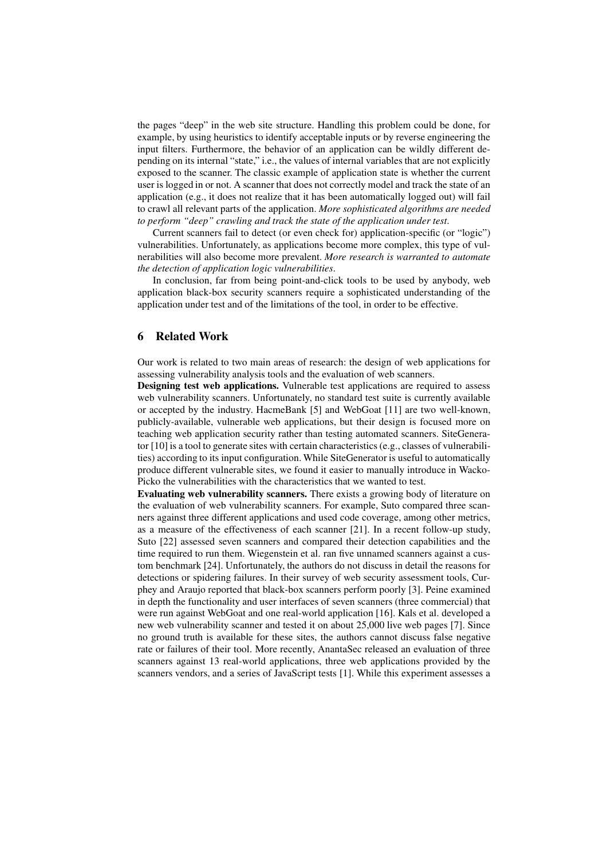the pages "deep" in the web site structure. Handling this problem could be done, for example, by using heuristics to identify acceptable inputs or by reverse engineering the input filters. Furthermore, the behavior of an application can be wildly different depending on its internal "state," i.e., the values of internal variables that are not explicitly exposed to the scanner. The classic example of application state is whether the current user is logged in or not. A scanner that does not correctly model and track the state of an application (e.g., it does not realize that it has been automatically logged out) will fail to crawl all relevant parts of the application. *More sophisticated algorithms are needed to perform "deep" crawling and track the state of the application under test*.

Current scanners fail to detect (or even check for) application-specific (or "logic") vulnerabilities. Unfortunately, as applications become more complex, this type of vulnerabilities will also become more prevalent. *More research is warranted to automate the detection of application logic vulnerabilities*.

In conclusion, far from being point-and-click tools to be used by anybody, web application black-box security scanners require a sophisticated understanding of the application under test and of the limitations of the tool, in order to be effective.

## **6 Related Work**

Our work is related to two main areas of research: the design of web applications for assessing vulnerability analysis tools and the evaluation of web scanners.

**Designing test web applications.** Vulnerable test applications are required to assess web vulnerability scanners. Unfortunately, no standard test suite is currently available or accepted by the industry. HacmeBank [5] and WebGoat [11] are two well-known, publicly-available, vulnerable web applications, but their design is focused more on teaching web application security rather than testing automated scanners. SiteGenerator  $[10]$  is a tool to generate sites with certain characteristics (e.g., classes of vulnerabilities) according to its input configuration. While SiteGenerator is useful to automatically produce different vulnerable sites, we found it easier to manually introduce in Wacko-Picko the vulnerabilities with the characteristics that we wanted to test.

**Evaluating web vulnerability scanners.** There exists a growing body of literature on the evaluation of web vulnerability scanners. For example, Suto compared three scanners against three different applications and used code coverage, among other metrics, as a measure of the effectiveness of each scanner [21]. In a recent follow-up study, Suto [22] assessed seven scanners and compared their detection capabilities and the time required to run them. Wiegenstein et al. ran five unnamed scanners against a custom benchmark [24]. Unfortunately, the authors do not discuss in detail the reasons for detections or spidering failures. In their survey of web security assessment tools, Curphey and Araujo reported that black-box scanners perform poorly [3]. Peine examined in depth the functionality and user interfaces of seven scanners (three commercial) that were run against WebGoat and one real-world application [16]. Kals et al. developed a new web vulnerability scanner and tested it on about 25,000 live web pages [7]. Since no ground truth is available for these sites, the authors cannot discuss false negative rate or failures of their tool. More recently, AnantaSec released an evaluation of three scanners against 13 real-world applications, three web applications provided by the scanners vendors, and a series of JavaScript tests [1]. While this experiment assesses a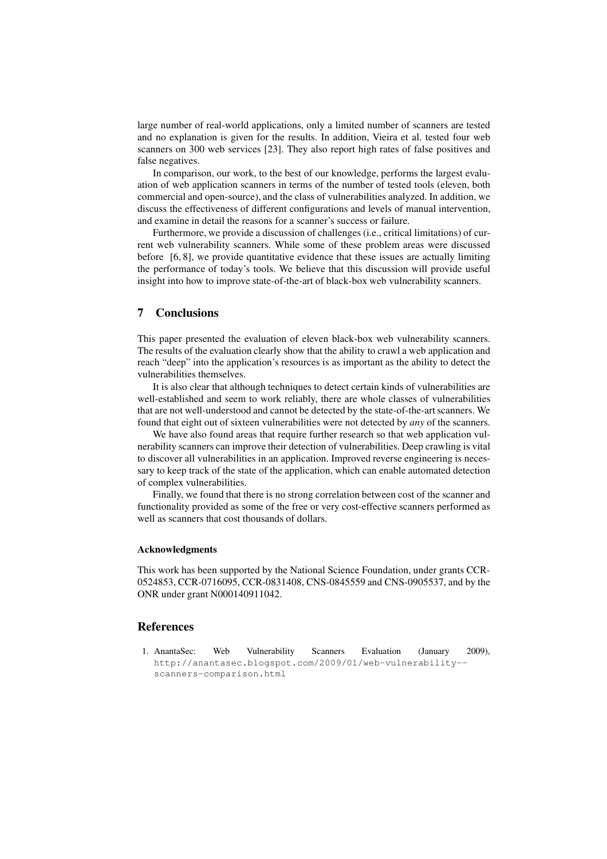large number of real-world applications, only a limited number of scanners are tested and no explanation is given for the results. In addition, Vieira et al. tested four web scanners on 300 web services [23]. They also report high rates of false positives and false negatives.

In comparison, our work, to the best of our knowledge, performs the largest evaluation of web application scanners in terms of the number of tested tools (eleven, both commercial and open-source), and the class of vulnerabilities analyzed. In addition, we discuss the effectiveness of different configurations and levels of manual intervention, and examine in detail the reasons for a scanner's success or failure.

Furthermore, we provide a discussion of challenges (i.e., critical limitations) of current web vulnerability scanners. While some of these problem areas were discussed before  $[6, 8]$ , we provide quantitative evidence that these issues are actually limiting the performance of today's tools. We believe that this discussion will provide useful insight into how to improve state-of-the-art of black-box web vulnerability scanners.

## **7 Conclusions**

This paper presented the evaluation of eleven black-box web vulnerability scanners. The results of the evaluation clearly show that the ability to crawl a web application and reach "deep" into the application's resources is as important as the ability to detect the vulnerabilities themselves.

It is also clear that although techniques to detect certain kinds of vulnerabilities are well-established and seem to work reliably, there are whole classes of vulnerabilities that are not well-understood and cannot be detected by the state-of-the-art scanners. We found that eight out of sixteen vulnerabilities were not detected by *any* of the scanners.

We have also found areas that require further research so that web application vulnerability scanners can improve their detection of vulnerabilities. Deep crawling is vital to discover all vulnerabilities in an application. Improved reverse engineering is necessary to keep track of the state of the application, which can enable automated detection of complex vulnerabilities.

Finally, we found that there is no strong correlation between cost of the scanner and functionality provided as some of the free or very cost-effective scanners performed as well as scanners that cost thousands of dollars.

## **Acknowledgments**

This work has been supported by the National Science Foundation, under grants CCR-0524853, CCR-0716095, CCR-0831408, CNS-0845559 and CNS-0905537, and by the ONR under grant N000140911042.

## **References**

1. AnantaSec: Web Vulnerability Scanners Evaluation (January 2009), http://anantasec.blogspot.com/2009/01/web-vulnerability- scanners-comparison.html